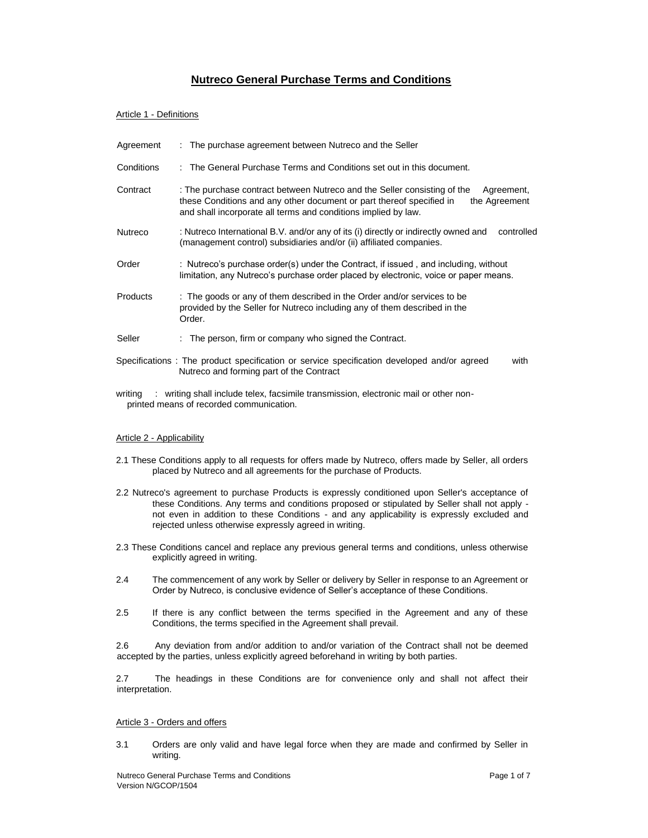# **Nutreco General Purchase Terms and Conditions**

# Article 1 - Definitions

| Agreement       | : The purchase agreement between Nutreco and the Seller                                                                                                                                                                                           |
|-----------------|---------------------------------------------------------------------------------------------------------------------------------------------------------------------------------------------------------------------------------------------------|
| Conditions      | : The General Purchase Terms and Conditions set out in this document.                                                                                                                                                                             |
| Contract        | : The purchase contract between Nutreco and the Seller consisting of the<br>Agreement,<br>these Conditions and any other document or part thereof specified in<br>the Agreement<br>and shall incorporate all terms and conditions implied by law. |
| Nutreco         | : Nutreco International B.V. and/or any of its (i) directly or indirectly owned and<br>controlled<br>(management control) subsidiaries and/or (ii) affiliated companies.                                                                          |
| Order           | : Nutreco's purchase order(s) under the Contract, if issued, and including, without<br>limitation, any Nutreco's purchase order placed by electronic, voice or paper means.                                                                       |
| <b>Products</b> | : The goods or any of them described in the Order and/or services to be<br>provided by the Seller for Nutreco including any of them described in the<br>Order.                                                                                    |
| Seller          | : The person, firm or company who signed the Contract.                                                                                                                                                                                            |
|                 | Specifications: The product specification or service specification developed and/or agreed<br>with<br>Nutreco and forming part of the Contract                                                                                                    |
| writing         | writing shall include telex, facsimile transmission, electronic mail or other non-                                                                                                                                                                |

# Article 2 - Applicability

printed means of recorded communication.

- 2.1 These Conditions apply to all requests for offers made by Nutreco, offers made by Seller, all orders placed by Nutreco and all agreements for the purchase of Products.
- 2.2 Nutreco's agreement to purchase Products is expressly conditioned upon Seller's acceptance of these Conditions. Any terms and conditions proposed or stipulated by Seller shall not apply not even in addition to these Conditions - and any applicability is expressly excluded and rejected unless otherwise expressly agreed in writing.
- 2.3 These Conditions cancel and replace any previous general terms and conditions, unless otherwise explicitly agreed in writing.
- 2.4 The commencement of any work by Seller or delivery by Seller in response to an Agreement or Order by Nutreco, is conclusive evidence of Seller's acceptance of these Conditions.
- 2.5 If there is any conflict between the terms specified in the Agreement and any of these Conditions, the terms specified in the Agreement shall prevail.

2.6 Any deviation from and/or addition to and/or variation of the Contract shall not be deemed accepted by the parties, unless explicitly agreed beforehand in writing by both parties.

2.7 The headings in these Conditions are for convenience only and shall not affect their interpretation.

# Article 3 - Orders and offers

3.1 Orders are only valid and have legal force when they are made and confirmed by Seller in writing.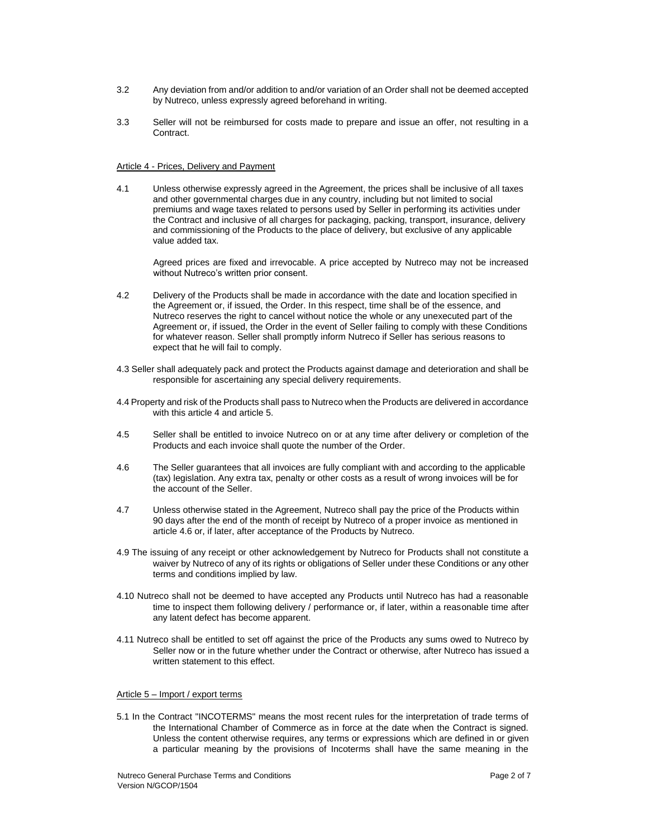- 3.2 Any deviation from and/or addition to and/or variation of an Order shall not be deemed accepted by Nutreco, unless expressly agreed beforehand in writing.
- 3.3 Seller will not be reimbursed for costs made to prepare and issue an offer, not resulting in a Contract.

#### Article 4 - Prices, Delivery and Payment

4.1 Unless otherwise expressly agreed in the Agreement, the prices shall be inclusive of all taxes and other governmental charges due in any country, including but not limited to social premiums and wage taxes related to persons used by Seller in performing its activities under the Contract and inclusive of all charges for packaging, packing, transport, insurance, delivery and commissioning of the Products to the place of delivery, but exclusive of any applicable value added tax.

Agreed prices are fixed and irrevocable. A price accepted by Nutreco may not be increased without Nutreco's written prior consent.

- 4.2 Delivery of the Products shall be made in accordance with the date and location specified in the Agreement or, if issued, the Order. In this respect, time shall be of the essence, and Nutreco reserves the right to cancel without notice the whole or any unexecuted part of the Agreement or, if issued, the Order in the event of Seller failing to comply with these Conditions for whatever reason. Seller shall promptly inform Nutreco if Seller has serious reasons to expect that he will fail to comply.
- 4.3 Seller shall adequately pack and protect the Products against damage and deterioration and shall be responsible for ascertaining any special delivery requirements.
- 4.4 Property and risk of the Products shall pass to Nutreco when the Products are delivered in accordance with this article 4 and article 5.
- 4.5 Seller shall be entitled to invoice Nutreco on or at any time after delivery or completion of the Products and each invoice shall quote the number of the Order.
- 4.6 The Seller guarantees that all invoices are fully compliant with and according to the applicable (tax) legislation. Any extra tax, penalty or other costs as a result of wrong invoices will be for the account of the Seller.
- 4.7 Unless otherwise stated in the Agreement, Nutreco shall pay the price of the Products within 90 days after the end of the month of receipt by Nutreco of a proper invoice as mentioned in article 4.6 or, if later, after acceptance of the Products by Nutreco.
- 4.9 The issuing of any receipt or other acknowledgement by Nutreco for Products shall not constitute a waiver by Nutreco of any of its rights or obligations of Seller under these Conditions or any other terms and conditions implied by law.
- 4.10 Nutreco shall not be deemed to have accepted any Products until Nutreco has had a reasonable time to inspect them following delivery / performance or, if later, within a reasonable time after any latent defect has become apparent.
- 4.11 Nutreco shall be entitled to set off against the price of the Products any sums owed to Nutreco by Seller now or in the future whether under the Contract or otherwise, after Nutreco has issued a written statement to this effect

# Article 5 – Import / export terms

5.1 In the Contract "INCOTERMS" means the most recent rules for the interpretation of trade terms of the International Chamber of Commerce as in force at the date when the Contract is signed. Unless the content otherwise requires, any terms or expressions which are defined in or given a particular meaning by the provisions of Incoterms shall have the same meaning in the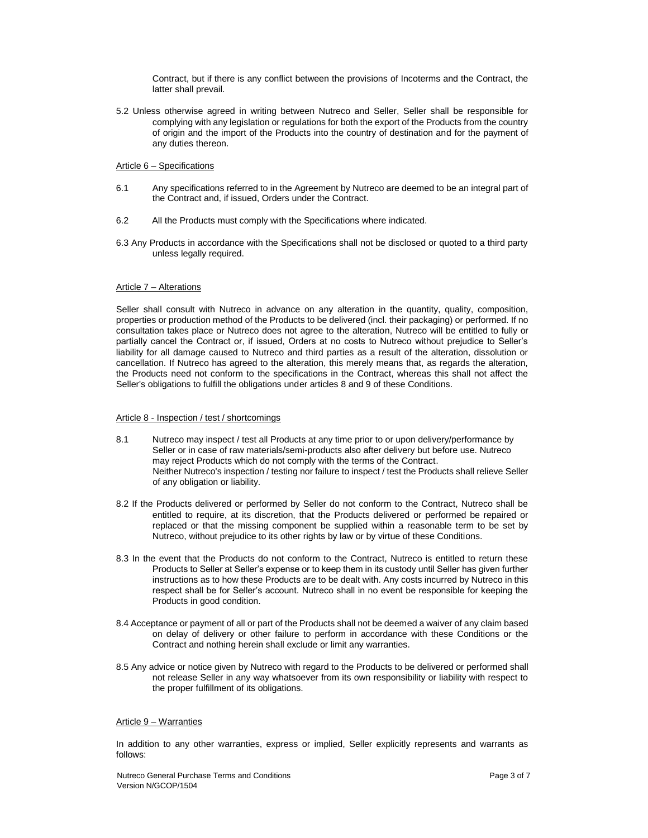Contract, but if there is any conflict between the provisions of Incoterms and the Contract, the latter shall prevail.

5.2 Unless otherwise agreed in writing between Nutreco and Seller, Seller shall be responsible for complying with any legislation or regulations for both the export of the Products from the country of origin and the import of the Products into the country of destination and for the payment of any duties thereon.

# Article 6 – Specifications

- 6.1 Any specifications referred to in the Agreement by Nutreco are deemed to be an integral part of the Contract and, if issued, Orders under the Contract.
- 6.2 All the Products must comply with the Specifications where indicated.
- 6.3 Any Products in accordance with the Specifications shall not be disclosed or quoted to a third party unless legally required.

## Article 7 – Alterations

Seller shall consult with Nutreco in advance on any alteration in the quantity, quality, composition, properties or production method of the Products to be delivered (incl. their packaging) or performed. If no consultation takes place or Nutreco does not agree to the alteration, Nutreco will be entitled to fully or partially cancel the Contract or, if issued, Orders at no costs to Nutreco without prejudice to Seller's liability for all damage caused to Nutreco and third parties as a result of the alteration, dissolution or cancellation. If Nutreco has agreed to the alteration, this merely means that, as regards the alteration, the Products need not conform to the specifications in the Contract, whereas this shall not affect the Seller's obligations to fulfill the obligations under articles 8 and 9 of these Conditions.

## Article 8 - Inspection / test / shortcomings

- 8.1 Nutreco may inspect / test all Products at any time prior to or upon delivery/performance by Seller or in case of raw materials/semi-products also after delivery but before use. Nutreco may reject Products which do not comply with the terms of the Contract. Neither Nutreco's inspection / testing nor failure to inspect / test the Products shall relieve Seller of any obligation or liability.
- 8.2 If the Products delivered or performed by Seller do not conform to the Contract, Nutreco shall be entitled to require, at its discretion, that the Products delivered or performed be repaired or replaced or that the missing component be supplied within a reasonable term to be set by Nutreco, without prejudice to its other rights by law or by virtue of these Conditions.
- 8.3 In the event that the Products do not conform to the Contract, Nutreco is entitled to return these Products to Seller at Seller's expense or to keep them in its custody until Seller has given further instructions as to how these Products are to be dealt with. Any costs incurred by Nutreco in this respect shall be for Seller's account. Nutreco shall in no event be responsible for keeping the Products in good condition.
- 8.4 Acceptance or payment of all or part of the Products shall not be deemed a waiver of any claim based on delay of delivery or other failure to perform in accordance with these Conditions or the Contract and nothing herein shall exclude or limit any warranties.
- 8.5 Any advice or notice given by Nutreco with regard to the Products to be delivered or performed shall not release Seller in any way whatsoever from its own responsibility or liability with respect to the proper fulfillment of its obligations.

# Article 9 – Warranties

In addition to any other warranties, express or implied, Seller explicitly represents and warrants as follows: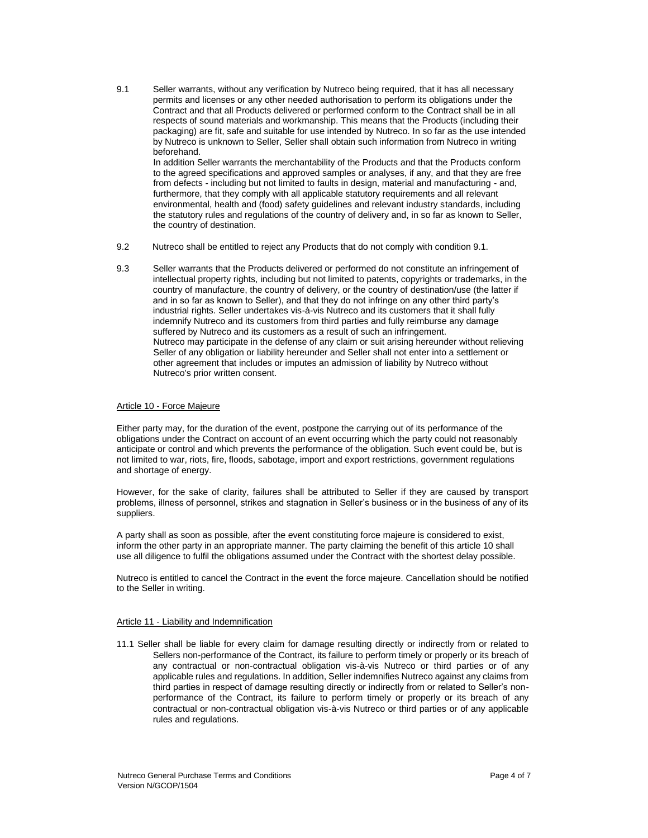9.1 Seller warrants, without any verification by Nutreco being required, that it has all necessary permits and licenses or any other needed authorisation to perform its obligations under the Contract and that all Products delivered or performed conform to the Contract shall be in all respects of sound materials and workmanship. This means that the Products (including their packaging) are fit, safe and suitable for use intended by Nutreco. In so far as the use intended by Nutreco is unknown to Seller, Seller shall obtain such information from Nutreco in writing beforehand.

In addition Seller warrants the merchantability of the Products and that the Products conform to the agreed specifications and approved samples or analyses, if any, and that they are free from defects - including but not limited to faults in design, material and manufacturing - and, furthermore, that they comply with all applicable statutory requirements and all relevant environmental, health and (food) safety guidelines and relevant industry standards, including the statutory rules and regulations of the country of delivery and, in so far as known to Seller, the country of destination.

- 9.2 Nutreco shall be entitled to reject any Products that do not comply with condition 9.1.
- 9.3 Seller warrants that the Products delivered or performed do not constitute an infringement of intellectual property rights, including but not limited to patents, copyrights or trademarks, in the country of manufacture, the country of delivery, or the country of destination/use (the latter if and in so far as known to Seller), and that they do not infringe on any other third party's industrial rights. Seller undertakes vis-à-vis Nutreco and its customers that it shall fully indemnify Nutreco and its customers from third parties and fully reimburse any damage suffered by Nutreco and its customers as a result of such an infringement. Nutreco may participate in the defense of any claim or suit arising hereunder without relieving Seller of any obligation or liability hereunder and Seller shall not enter into a settlement or other agreement that includes or imputes an admission of liability by Nutreco without Nutreco's prior written consent.

## Article 10 - Force Majeure

Either party may, for the duration of the event, postpone the carrying out of its performance of the obligations under the Contract on account of an event occurring which the party could not reasonably anticipate or control and which prevents the performance of the obligation. Such event could be, but is not limited to war, riots, fire, floods, sabotage, import and export restrictions, government regulations and shortage of energy.

However, for the sake of clarity, failures shall be attributed to Seller if they are caused by transport problems, illness of personnel, strikes and stagnation in Seller's business or in the business of any of its suppliers.

A party shall as soon as possible, after the event constituting force majeure is considered to exist, inform the other party in an appropriate manner. The party claiming the benefit of this article 10 shall use all diligence to fulfil the obligations assumed under the Contract with the shortest delay possible.

Nutreco is entitled to cancel the Contract in the event the force majeure. Cancellation should be notified to the Seller in writing.

## Article 11 - Liability and Indemnification

11.1 Seller shall be liable for every claim for damage resulting directly or indirectly from or related to Sellers non-performance of the Contract, its failure to perform timely or properly or its breach of any contractual or non-contractual obligation vis-à-vis Nutreco or third parties or of any applicable rules and regulations. In addition, Seller indemnifies Nutreco against any claims from third parties in respect of damage resulting directly or indirectly from or related to Seller's nonperformance of the Contract, its failure to perform timely or properly or its breach of any contractual or non-contractual obligation vis-à-vis Nutreco or third parties or of any applicable rules and regulations.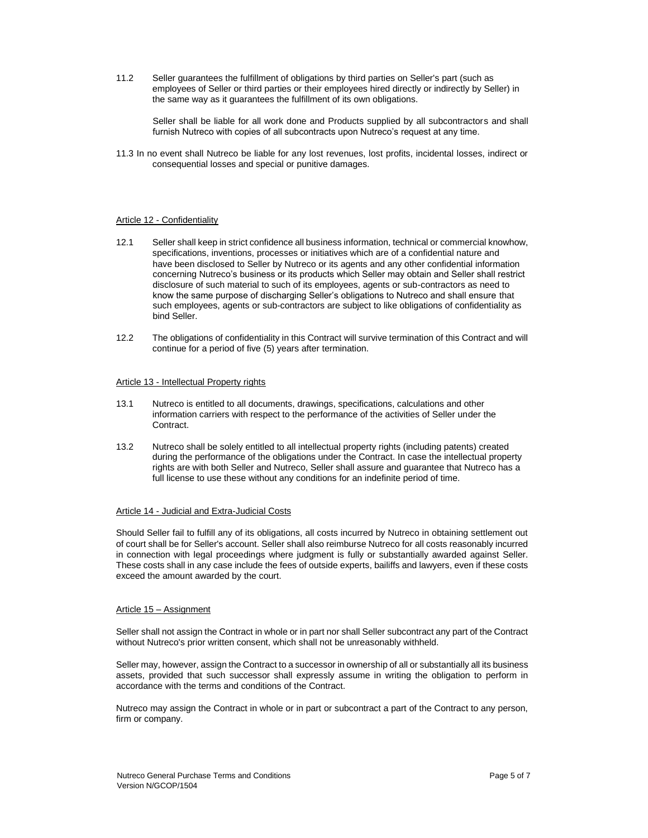11.2 Seller guarantees the fulfillment of obligations by third parties on Seller's part (such as employees of Seller or third parties or their employees hired directly or indirectly by Seller) in the same way as it guarantees the fulfillment of its own obligations.

Seller shall be liable for all work done and Products supplied by all subcontractors and shall furnish Nutreco with copies of all subcontracts upon Nutreco's request at any time.

11.3 In no event shall Nutreco be liable for any lost revenues, lost profits, incidental losses, indirect or consequential losses and special or punitive damages.

# Article 12 - Confidentiality

- 12.1 Seller shall keep in strict confidence all business information, technical or commercial knowhow, specifications, inventions, processes or initiatives which are of a confidential nature and have been disclosed to Seller by Nutreco or its agents and any other confidential information concerning Nutreco's business or its products which Seller may obtain and Seller shall restrict disclosure of such material to such of its employees, agents or sub-contractors as need to know the same purpose of discharging Seller's obligations to Nutreco and shall ensure that such employees, agents or sub-contractors are subject to like obligations of confidentiality as bind Seller.
- 12.2 The obligations of confidentiality in this Contract will survive termination of this Contract and will continue for a period of five (5) years after termination.

#### Article 13 - Intellectual Property rights

- 13.1 Nutreco is entitled to all documents, drawings, specifications, calculations and other information carriers with respect to the performance of the activities of Seller under the Contract.
- 13.2 Nutreco shall be solely entitled to all intellectual property rights (including patents) created during the performance of the obligations under the Contract. In case the intellectual property rights are with both Seller and Nutreco, Seller shall assure and guarantee that Nutreco has a full license to use these without any conditions for an indefinite period of time.

#### Article 14 - Judicial and Extra-Judicial Costs

Should Seller fail to fulfill any of its obligations, all costs incurred by Nutreco in obtaining settlement out of court shall be for Seller's account. Seller shall also reimburse Nutreco for all costs reasonably incurred in connection with legal proceedings where judgment is fully or substantially awarded against Seller. These costs shall in any case include the fees of outside experts, bailiffs and lawyers, even if these costs exceed the amount awarded by the court.

## Article 15 – Assignment

Seller shall not assign the Contract in whole or in part nor shall Seller subcontract any part of the Contract without Nutreco's prior written consent, which shall not be unreasonably withheld.

Seller may, however, assign the Contract to a successor in ownership of all or substantially all its business assets, provided that such successor shall expressly assume in writing the obligation to perform in accordance with the terms and conditions of the Contract.

Nutreco may assign the Contract in whole or in part or subcontract a part of the Contract to any person, firm or company.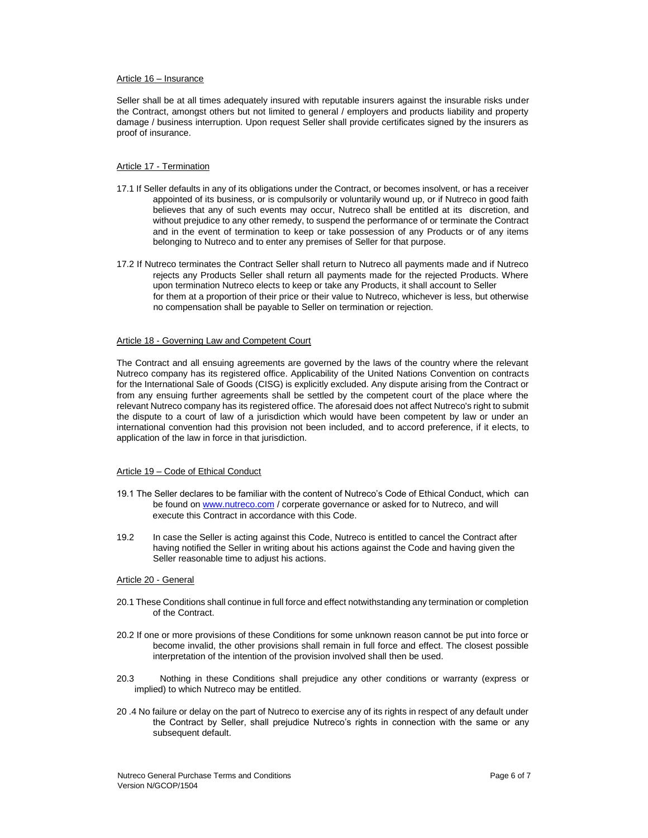#### Article 16 – Insurance

Seller shall be at all times adequately insured with reputable insurers against the insurable risks under the Contract, amongst others but not limited to general / employers and products liability and property damage / business interruption. Upon request Seller shall provide certificates signed by the insurers as proof of insurance.

# Article 17 - Termination

- 17.1 If Seller defaults in any of its obligations under the Contract, or becomes insolvent, or has a receiver appointed of its business, or is compulsorily or voluntarily wound up, or if Nutreco in good faith believes that any of such events may occur, Nutreco shall be entitled at its discretion, and without prejudice to any other remedy, to suspend the performance of or terminate the Contract and in the event of termination to keep or take possession of any Products or of any items belonging to Nutreco and to enter any premises of Seller for that purpose.
- 17.2 If Nutreco terminates the Contract Seller shall return to Nutreco all payments made and if Nutreco rejects any Products Seller shall return all payments made for the rejected Products. Where upon termination Nutreco elects to keep or take any Products, it shall account to Seller for them at a proportion of their price or their value to Nutreco, whichever is less, but otherwise no compensation shall be payable to Seller on termination or rejection.

#### Article 18 - Governing Law and Competent Court

The Contract and all ensuing agreements are governed by the laws of the country where the relevant Nutreco company has its registered office. Applicability of the United Nations Convention on contracts for the International Sale of Goods (CISG) is explicitly excluded. Any dispute arising from the Contract or from any ensuing further agreements shall be settled by the competent court of the place where the relevant Nutreco company has its registered office. The aforesaid does not affect Nutreco's right to submit the dispute to a court of law of a jurisdiction which would have been competent by law or under an international convention had this provision not been included, and to accord preference, if it elects, to application of the law in force in that jurisdiction.

#### Article 19 - Code of Ethical Conduct

- 19.1 The Seller declares to be familiar with the content of Nutreco's Code of Ethical Conduct, which can be found on www.nutreco.com / corperate governance or asked for to Nutreco, and will execute this Contract in accordance with this Code.
- 19.2 In case the Seller is acting against this Code, Nutreco is entitled to cancel the Contract after having notified the Seller in writing about his actions against the Code and having given the Seller reasonable time to adjust his actions.

#### Article 20 - General

- 20.1 These Conditions shall continue in full force and effect notwithstanding any termination or completion of the Contract.
- 20.2 If one or more provisions of these Conditions for some unknown reason cannot be put into force or become invalid, the other provisions shall remain in full force and effect. The closest possible interpretation of the intention of the provision involved shall then be used.
- 20.3 Nothing in these Conditions shall prejudice any other conditions or warranty (express or implied) to which Nutreco may be entitled.
- 20 .4 No failure or delay on the part of Nutreco to exercise any of its rights in respect of any default under the Contract by Seller, shall prejudice Nutreco's rights in connection with the same or any subsequent default.